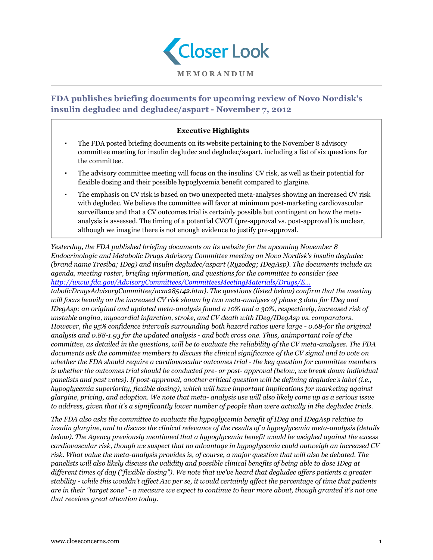

# **FDA publishes briefing documents for upcoming review of Novo Nordisk's insulin degludec and degludec/aspart - November 7, 2012**

# **Executive Highlights**

- The FDA posted briefing documents on its website pertaining to the November 8 advisory committee meeting for insulin degludec and degludec/aspart, including a list of six questions for the committee.
- The advisory committee meeting will focus on the insulins' CV risk, as well as their potential for flexible dosing and their possible hypoglycemia benefit compared to glargine.
- The emphasis on CV risk is based on two unexpected meta-analyses showing an increased CV risk with degludec. We believe the committee will favor at minimum post-marketing cardiovascular surveillance and that a CV outcomes trial is certainly possible but contingent on how the metaanalysis is assessed. The timing of a potential CVOT (pre-approval vs. post-approval) is unclear, although we imagine there is not enough evidence to justify pre-approval.

*Yesterday, the FDA published briefing documents on its website for the upcoming November 8 Endocrinologic and Metabolic Drugs Advisory Committee meeting on Novo Nordisk's insulin degludec (brand name Tresiba; IDeg) and insulin degludec/aspart (Ryzodeg; IDegAsp). The documents include an agenda, meeting roster, briefing information, and questions for the committee to consider (see [http://www.fda.gov/AdvisoryCommittees/CommitteesMeetingMaterials/Drugs/E...](http://www.fda.gov/AdvisoryCommittees/CommitteesMeetingMaterials/Drugs/EndocrinologicandMe)*

*tabolicDrugsAdvisoryCommittee/ucm285142.htm). The questions (listed below) confirm that the meeting will focus heavily on the increased CV risk shown by two meta-analyses of phase 3 data for IDeg and IDegAsp: an original and updated meta-analysis found a 10% and a 30%, respectively, increased risk of unstable angina, myocardial infarction, stroke, and CV death with IDeg/IDegAsp vs. comparators. However, the 95% confidence intervals surrounding both hazard ratios were large - 0.68-for the original analysis and 0.88-1.93 for the updated analysis - and both cross one. Thus, animportant role of the committee, as detailed in the questions, will be to evaluate the reliability of the CV meta-analyses. The FDA documents ask the committee members to discuss the clinical significance of the CV signal and to vote on whether the FDA should require a cardiovascular outcomes trial - the key question for committee members is whether the outcomes trial should be conducted pre- or post- approval (below, we break down individual panelists and past votes). If post-approval, another critical question will be defining degludec's label (i.e., hypoglycemia superiority, flexible dosing), which will have important implications for marketing against glargine, pricing, and adoption. We note that meta- analysis use will also likely come up as a serious issue to address, given that it's a significantly lower number of people than were actually in the degludec trials.*

*The FDA also asks the committee to evaluate the hypoglycemia benefit of IDeg and IDegAsp relative to insulin glargine, and to discuss the clinical relevance of the results of a hypoglycemia meta-analysis (details below). The Agency previously mentioned that a hypoglycemia benefit would be weighed against the excess cardiovascular risk, though we suspect that no advantage in hypoglycemia could outweigh an increased CV risk. What value the meta-analysis provides is, of course, a major question that will also be debated. The panelists will also likely discuss the validity and possible clinical benefits of being able to dose IDeg at different times of day ("flexible dosing"). We note that we've heard that degludec offers patients a greater stability - while this wouldn't affect A1c per se, it would certainly affect the percentage of time that patients are in their "target zone" - a measure we expect to continue to hear more about, though granted it's not one that receives great attention today.*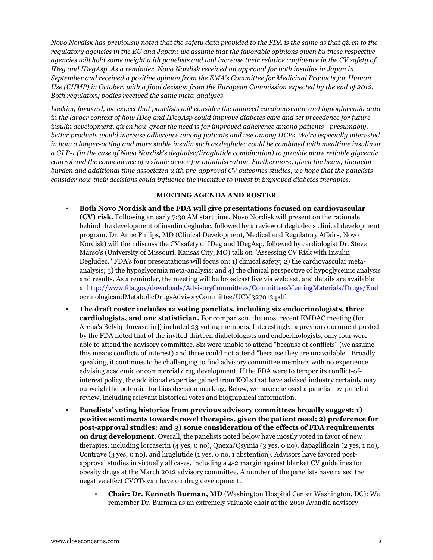*Novo Nordisk has previously noted that the safety data provided to the FDA is the same as that given to the regulatory agencies in the EU and Japan; we assume that the favorable opinions given by these respective agencies will hold some weight with panelists and will increase their relative confidence in the CV safety of IDeg and IDegAsp. As a reminder, Novo Nordisk received an approval for both insulins in Japan in September and received a positive opinion from the EMA's Committee for Medicinal Products for Human Use (CHMP) in October, with a final decision from the European Commission expected by the end of 2012. Both regulatory bodies received the same meta-analyses.*

*Looking forward, we expect that panelists will consider the nuanced cardiovascular and hypoglycemia data in the larger context of how IDeg and IDegAsp could improve diabetes care and set precedence for future insulin development, given how great the need is for improved adherence among patients - presumably, better products would increase adherence among patients and use among HCPs. We're especially interested in how a longer-acting and more stable insulin such as degludec could be combined with mealtime insulin or a GLP-1 (in the case of Novo Nordisk's degludec/liraglutide combination) to provide more reliable glycemic control and the convenience of a single device for administration. Furthermore, given the heavy financial burden and additional time associated with pre-approval CV outcomes studies, we hope that the panelists consider how their decisions could influence the incentive to invest in improved diabetes therapies.*

#### **MEETING AGENDA AND ROSTER**

- **Both Novo Nordisk and the FDA will give presentations focused on cardiovascular (CV) risk.** Following an early 7:30 AM start time, Novo Nordisk will present on the rationale behind the development of insulin degludec, followed by a review of degludec's clinical development program. Dr. Anne Philips, MD (Clinical Development, Medical and Regulatory Affairs, Novo Nordisk) will then discuss the CV safety of IDeg and IDegAsp, followed by cardiologist Dr. Steve Marso's (University of Missouri, Kansas City, MO) talk on "Assessing CV Risk with Insulin Degludec." FDA's four presentations will focus on: 1) clinical safety; 2) the cardiovascular metaanalysis; 3) the hypoglycemia meta-analysis; and 4) the clinical perspective of hypoglycemic analysis and results. As a reminder, the meeting will be broadcast live via webcast, and details are available at <http://www.fda.gov/downloads/AdvisoryCommittees/CommitteesMeetingMaterials/Drugs/End> ocrinologicandMetabolicDrugsAdvisoryCommittee/UCM327013.pdf.
- **The draft roster includes 12 voting panelists, including six endocrinologists, three cardiologists, and one statistician.** For comparison, the most recent EMDAC meeting (for Arena's Belviq [lorcaserin]) included 23 voting members. Interestingly, a previous document posted by the FDA noted that of the invited thirteen diabetologists and endocrinologists, only four were able to attend the advisory committee. Six were unable to attend "because of conflicts" (we assume this means conflicts of interest) and three could not attend "because they are unavailable." Broadly speaking, it continues to be challenging to find advisory committee members with no experience advising academic or commercial drug development. If the FDA were to temper its conflict-ofinterest policy, the additional expertise gained from KOLs that have advised industry certainly may outweigh the potential for bias decision marking. Below, we have enclosed a panelist-by-panelist review, including relevant historical votes and biographical information.
- **Panelists' voting histories from previous advisory committees broadly suggest: 1) positive sentiments towards novel therapies, given the patient need; 2) preference for post-approval studies; and 3) some consideration of the effects of FDA requirements on drug development.** Overall, the panelists noted below have mostly voted in favor of new therapies, including lorcaserin (4 yes, 0 no), Qnexa/Qsymia (3 yes, 0 no), dapagliflozin (2 yes, 1 no), Contrave (3 yes, 0 no), and liraglutide (1 yes, 0 no, 1 abstention). Advisors have favored postapproval studies in virtually all cases, including a 4-2 margin against blanket CV guidelines for obesity drugs at the March 2012 advisory committee. A number of the panelists have raised the negative effect CVOTs can have on drug development..
	- **Chair: Dr. Kenneth Burman, MD** (Washington Hospital Center Washington, DC): We remember Dr. Burman as an extremely valuable chair at the 2010 Avandia advisory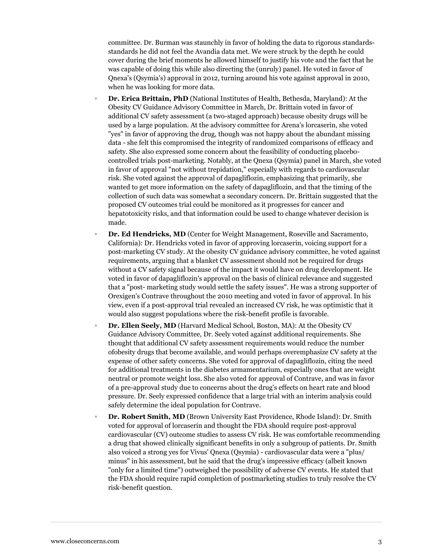committee. Dr. Burman was staunchly in favor of holding the data to rigorous standardsstandards he did not feel the Avandia data met. We were struck by the depth he could cover during the brief moments he allowed himself to justify his vote and the fact that he was capable of doing this while also directing the (unruly) panel. He voted in favor of Qnexa's (Qsymia's) approval in 2012, turning around his vote against approval in 2010, when he was looking for more data.

- **Dr. Erica Brittain, PhD** (National Institutes of Health, Bethesda, Maryland): At the Obesity CV Guidance Advisory Committee in March, Dr. Brittain voted in favor of additional CV safety assessment (a two-staged approach) because obesity drugs will be used by a large population. At the advisory committee for Arena's lorcaserin, she voted "yes" in favor of approving the drug, though was not happy about the abundant missing data - she felt this compromised the integrity of randomized comparisons of efficacy and safety. She also expressed some concern about the feasibility of conducting placebocontrolled trials post-marketing. Notably, at the Qnexa (Qsymia) panel in March, she voted in favor of approval "not without trepidation," especially with regards to cardiovascular risk. She voted against the approval of dapagliflozin, emphasizing that primarily, she wanted to get more information on the safety of dapagliflozin, and that the timing of the collection of such data was somewhat a secondary concern. Dr. Brittain suggested that the proposed CV outcomes trial could be monitored as it progresses for cancer and hepatotoxicity risks, and that information could be used to change whatever decision is made.
- Dr. Ed Hendricks, MD (Center for Weight Management, Roseville and Sacramento, California): Dr. Hendricks voted in favor of approving lorcaserin, voicing support for a post-marketing CV study. At the obesity CV guidance advisory committee, he voted against requirements, arguing that a blanket CV assessment should not be required for drugs without a CV safety signal because of the impact it would have on drug development. He voted in favor of dapagliflozin's approval on the basis of clinical relevance and suggested that a "post- marketing study would settle the safety issues". He was a strong supporter of Orexigen's Contrave throughout the 2010 meeting and voted in favor of approval. In his view, even if a post-approval trial revealed an increased CV risk, he was optimistic that it would also suggest populations where the risk-benefit profile is favorable.
- **Dr. Ellen Seely, MD** (Harvard Medical School, Boston, MA): At the Obesity CV Guidance Advisory Committee, Dr. Seely voted against additional requirements. She thought that additional CV safety assessment requirements would reduce the number ofobesity drugs that become available, and would perhaps overemphasize CV safety at the expense of other safety concerns. She voted for approval of dapagliflozin, citing the need for additional treatments in the diabetes armamentarium, especially ones that are weight neutral or promote weight loss. She also voted for approval of Contrave, and was in favor of a pre-approval study due to concerns about the drug's effects on heart rate and blood pressure. Dr. Seely expressed confidence that a large trial with an interim analysis could safely determine the ideal population for Contrave.
- **Dr. Robert Smith, MD** (Brown University East Providence, Rhode Island): Dr. Smith voted for approval of lorcaserin and thought the FDA should require post-approval cardiovascular (CV) outcome studies to assess CV risk. He was comfortable recommending a drug that showed clinically significant benefits in only a subgroup of patients. Dr. Smith also voiced a strong yes for Vivus' Qnexa (Qsymia) - cardiovascular data were a "plus/ minus" in his assessment, but he said that the drug's impressive efficacy (albeit known "only for a limited time") outweighed the possibility of adverse CV events. He stated that the FDA should require rapid completion of postmarketing studies to truly resolve the CV risk-benefit question.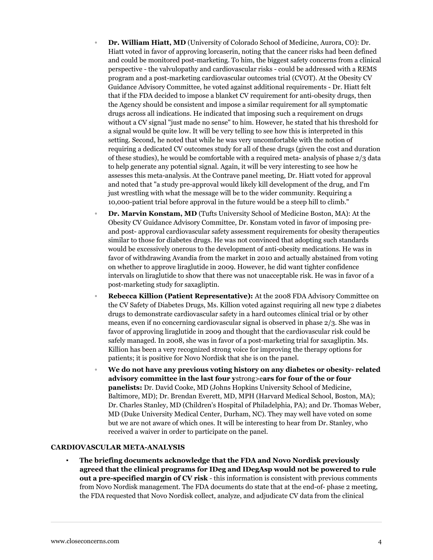- **Dr. William Hiatt, MD** (University of Colorado School of Medicine, Aurora, CO): Dr. Hiatt voted in favor of approving lorcaserin, noting that the cancer risks had been defined and could be monitored post-marketing. To him, the biggest safety concerns from a clinical perspective - the valvulopathy and cardiovascular risks - could be addressed with a REMS program and a post-marketing cardiovascular outcomes trial (CVOT). At the Obesity CV Guidance Advisory Committee, he voted against additional requirements - Dr. Hiatt felt that if the FDA decided to impose a blanket CV requirement for anti-obesity drugs, then the Agency should be consistent and impose a similar requirement for all symptomatic drugs across all indications. He indicated that imposing such a requirement on drugs without a CV signal "just made no sense" to him. However, he stated that his threshold for a signal would be quite low. It will be very telling to see how this is interpreted in this setting. Second, he noted that while he was very uncomfortable with the notion of requiring a dedicated CV outcomes study for all of these drugs (given the cost and duration of these studies), he would be comfortable with a required meta- analysis of phase 2/3 data to help generate any potential signal. Again, it will be very interesting to see how he assesses this meta-analysis. At the Contrave panel meeting, Dr. Hiatt voted for approval and noted that "a study pre-approval would likely kill development of the drug, and I'm just wrestling with what the message will be to the wider community. Requiring a 10,000-patient trial before approval in the future would be a steep hill to climb."
- **Dr. Marvin Konstam, MD** (Tufts University School of Medicine Boston, MA): At the Obesity CV Guidance Advisory Committee, Dr. Konstam voted in favor of imposing preand post- approval cardiovascular safety assessment requirements for obesity therapeutics similar to those for diabetes drugs. He was not convinced that adopting such standards would be excessively onerous to the development of anti-obesity medications. He was in favor of withdrawing Avandia from the market in 2010 and actually abstained from voting on whether to approve liraglutide in 2009. However, he did want tighter confidence intervals on liraglutide to show that there was not unacceptable risk. He was in favor of a post-marketing study for saxagliptin.
- **Rebecca Killion (Patient Representative):** At the 2008 FDA Advisory Committee on the CV Safety of Diabetes Drugs, Ms. Killion voted against requiring all new type 2 diabetes drugs to demonstrate cardiovascular safety in a hard outcomes clinical trial or by other means, even if no concerning cardiovascular signal is observed in phase 2/3. She was in favor of approving liraglutide in 2009 and thought that the cardiovascular risk could be safely managed. In 2008, she was in favor of a post-marketing trial for saxagliptin. Ms. Killion has been a very recognized strong voice for improving the therapy options for patients; it is positive for Novo Nordisk that she is on the panel.
- **We do not have any previous voting history on any diabetes or obesity- related advisory committee in the last four y**strong>e**ars for four of the or four panelists:** Dr. David Cooke, MD (Johns Hopkins University School of Medicine, Baltimore, MD); Dr. Brendan Everett, MD, MPH (Harvard Medical School, Boston, MA); Dr. Charles Stanley, MD (Children's Hospital of Philadelphia, PA); and Dr. Thomas Weber, MD (Duke University Medical Center, Durham, NC). They may well have voted on some but we are not aware of which ones. It will be interesting to hear from Dr. Stanley, who received a waiver in order to participate on the panel.

#### **CARDIOVASCULAR META-ANALYSIS**

▪ **The briefing documents acknowledge that the FDA and Novo Nordisk previously agreed that the clinical programs for IDeg and IDegAsp would not be powered to rule out a pre-specified margin of CV risk** - this information is consistent with previous comments from Novo Nordisk management. The FDA documents do state that at the end-of- phase 2 meeting, the FDA requested that Novo Nordisk collect, analyze, and adjudicate CV data from the clinical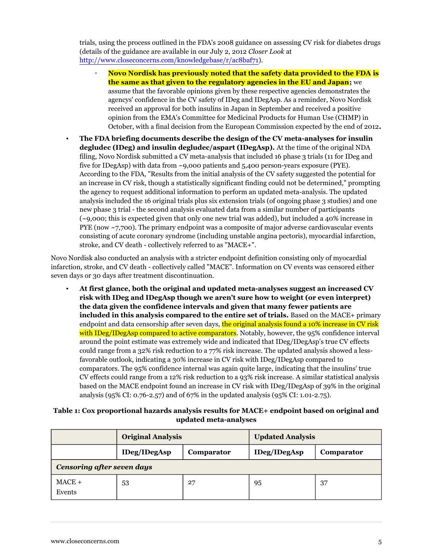trials, using the process outlined in the FDA's 2008 guidance on assessing CV risk for diabetes drugs (details of the guidance are available in our July 2, 2012 *Closer Look* at [http://www.closeconcerns.com/knowledgebase/r/ac8baf71\)](/knowledgebase/r/ac8baf71).

- **Novo Nordisk has previously noted that the safety data provided to the FDA is the same as that given to the regulatory agencies in the EU and Japan**; we assume that the favorable opinions given by these respective agencies demonstrates the agencys' confidence in the CV safety of IDeg and IDegAsp. As a reminder, Novo Nordisk received an approval for both insulins in Japan in September and received a positive opinion from the EMA's Committee for Medicinal Products for Human Use (CHMP) in October, with a final decision from the European Commission expected by the end of 2012**.**
- **The FDA briefing documents describe the design of the CV meta-analyses for insulin degludec (IDeg) and insulin degludec/aspart (IDegAsp).** At the time of the original NDA filing, Novo Nordisk submitted a CV meta-analysis that included 16 phase 3 trials (11 for IDeg and five for IDegAsp) with data from  $\sim$ 9,000 patients and 5,400 person-years exposure (PYE). According to the FDA, "Results from the initial analysis of the CV safety suggested the potential for an increase in CV risk, though a statistically significant finding could not be determined," prompting the agency to request additional information to perform an updated meta-analysis. The updated analysis included the 16 original trials plus six extension trials (of ongoing phase 3 studies) and one new phase 3 trial - the second analysis evaluated data from a similar number of participants (~9,000; this is expected given that only one new trial was added), but included a 40% increase in PYE (now ~7,700). The primary endpoint was a composite of major adverse cardiovascular events consisting of acute coronary syndrome (including unstable angina pectoris), myocardial infarction, stroke, and CV death - collectively referred to as "MACE+".

Novo Nordisk also conducted an analysis with a stricter endpoint definition consisting only of myocardial infarction, stroke, and CV death - collectively called "MACE". Information on CV events was censored either seven days or 30 days after treatment discontinuation.

▪ **At first glance, both the original and updated meta-analyses suggest an increased CV risk with IDeg and IDegAsp though we aren't sure how to weight (or even interpret) the data given the confidence intervals and given that many fewer patients are included in this analysis compared to the entire set of trials.** Based on the MACE+ primary endpoint and data censorship after seven days, the original analysis found a 10% increase in CV risk with IDeg/IDegAsp compared to active comparators. Notably, however, the 95% confidence interval around the point estimate was extremely wide and indicated that IDeg/IDegAsp's true CV effects could range from a 32% risk reduction to a 77% risk increase. The updated analysis showed a lessfavorable outlook, indicating a 30% increase in CV risk with IDeg/IDegAsp compared to comparators. The 95% confidence internal was again quite large, indicating that the insulins' true CV effects could range from a 12% risk reduction to a 93% risk increase. A similar statistical analysis based on the MACE endpoint found an increase in CV risk with IDeg/IDegAsp of 39% in the original analysis (95% CI: 0.76-2.57) and of 67% in the updated analysis (95% CI: 1.01-2.75).

# **Table 1: Cox proportional hazards analysis results for MACE+ endpoint based on original and updated meta-analyses**

|                                   | <b>Original Analysis</b> |            | <b>Updated Analysis</b> |            |  |
|-----------------------------------|--------------------------|------------|-------------------------|------------|--|
|                                   | <b>IDeg/IDegAsp</b>      | Comparator | <b>IDeg/IDegAsp</b>     | Comparator |  |
| <b>Censoring after seven days</b> |                          |            |                         |            |  |
| $MACE +$<br>Events                | 53                       | 27         | 95                      | 37         |  |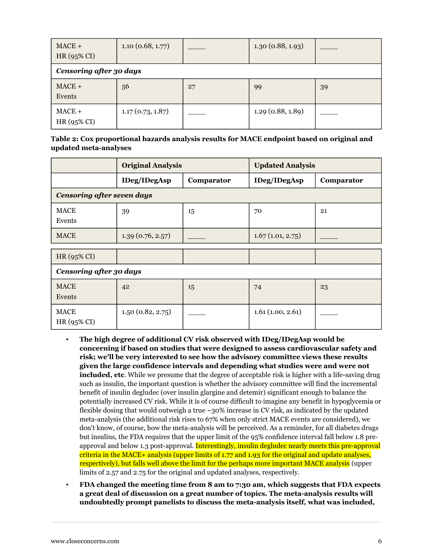| $MACE +$<br>HR (95% CI)        | 1.10(0.68, 1.77) |    | 1.30(0.88, 1.93) |    |  |
|--------------------------------|------------------|----|------------------|----|--|
| <b>Censoring after 30 days</b> |                  |    |                  |    |  |
| $MACE +$<br>Events             | 56               | 27 | 99               | 39 |  |
| $MACE +$<br>HR (95% CI)        | 1.17(0.73, 1.87) |    | 1.29(0.88, 1.89) |    |  |

# **Table 2: Cox proportional hazards analysis results for MACE endpoint based on original and updated meta-analyses**

|                                   | <b>Original Analysis</b> |            | <b>Updated Analysis</b> |            |  |  |
|-----------------------------------|--------------------------|------------|-------------------------|------------|--|--|
|                                   | <b>IDeg/IDegAsp</b>      | Comparator | <b>IDeg/IDegAsp</b>     | Comparator |  |  |
| <b>Censoring after seven days</b> |                          |            |                         |            |  |  |
| <b>MACE</b><br>Events             | 39                       | 15         | 70                      | 21         |  |  |
| <b>MACE</b>                       | 1.39(0.76, 2.57)         |            | 1.67(1.01, 2.75)        |            |  |  |
| HR (95% CI)                       |                          |            |                         |            |  |  |
| <b>Censoring after 30 days</b>    |                          |            |                         |            |  |  |
| <b>MACE</b><br>Events             | 42                       | 15         | 74                      | 23         |  |  |
| <b>MACE</b><br>HR (95% CI)        | 1.50(0.82, 2.75)         |            | 1.61(1.00, 2.61)        |            |  |  |

- **The high degree of additional CV risk observed with IDeg/IDegAsp would be concerning if based on studies that were designed to assess cardiovascular safety and risk; we'll be very interested to see how the advisory committee views these results given the large confidence intervals and depending what studies were and were not included, etc**. While we presume that the degree of acceptable risk is higher with a life-saving drug such as insulin, the important question is whether the advisory committee will find the incremental benefit of insulin degludec (over insulin glargine and detemir) significant enough to balance the potentially increased CV risk. While it is of course difficult to imagine any benefit in hypoglycemia or flexible dosing that would outweigh a true  $\sim$ 30% increase in CV risk, as indicated by the updated meta-analysis (the additional risk rises to 67% when only strict MACE events are considered), we don't know, of course, how the meta-analysis will be perceived. As a reminder, for all diabetes drugs but insulins, the FDA requires that the upper limit of the 95% confidence interval fall below 1.8 preapproval and below 1.3 post-approval. Interestingly, insulin degludec nearly meets this pre-approval criteria in the MACE+ analysis (upper limits of 1.77 and 1.93 for the original and update analyses, respectively), but falls well above the limit for the perhaps more important MACE analysis (upper limits of 2.57 and 2.75 for the original and updated analyses, respectively.
- **FDA changed the meeting time from 8 am to 7:30 am, which suggests that FDA expects a great deal of discussion on a great number of topics. The meta-analysis results will undoubtedly prompt panelists to discuss the meta-analysis itself, what was included,**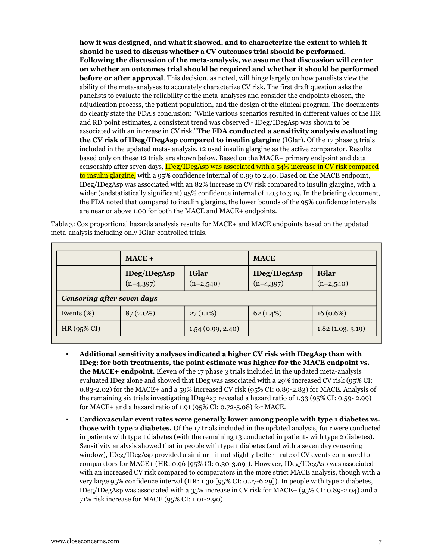**how it was designed, and what it showed, and to characterize the extent to which it should be used to discuss whether a CV outcomes trial should be performed. Following the discussion of the meta-analysis, we assume that discussion will center on whether an outcomes trial should be required and whether it should be performed before or after approval**. This decision, as noted, will hinge largely on how panelists view the ability of the meta-analyses to accurately characterize CV risk. The first draft question asks the panelists to evaluate the reliability of the meta-analyses and consider the endpoints chosen, the adjudication process, the patient population, and the design of the clinical program. The documents do clearly state the FDA's conclusion: "While various scenarios resulted in different values of the HR and RD point estimates, a consistent trend was observed - IDeg/IDegAsp was shown to be associated with an increase in CV risk."**The FDA conducted a sensitivity analysis evaluating the CV risk of IDeg/IDegAsp compared to insulin glargine** (IGlar). Of the 17 phase 3 trials included in the updated meta- analysis, 12 used insulin glargine as the active comparator. Results based only on these 12 trials are shown below. Based on the MACE+ primary endpoint and data censorship after seven days, IDeg/IDegAsp was associated with a 54% increase in CV risk compared to insulin glargine, with a 95% confidence internal of 0.99 to 2.40. Based on the MACE endpoint, IDeg/IDegAsp was associated with an 82% increase in CV risk compared to insulin glargine, with a wider (andstatistically significant) 95% confidence internal of 1.03 to 3.19. In the briefing document, the FDA noted that compared to insulin glargine, the lower bounds of the 95% confidence intervals are near or above 1.00 for both the MACE and MACE+ endpoints.

Table 3: Cox proportional hazards analysis results for MACE+ and MACE endpoints based on the updated meta-analysis including only IGlar-controlled trials.

|                                   | $MACE +$                           |                             | <b>MACE</b>                        |                             |  |
|-----------------------------------|------------------------------------|-----------------------------|------------------------------------|-----------------------------|--|
|                                   | <b>IDeg/IDegAsp</b><br>$(n=4,397)$ | <b>IGlar</b><br>$(n=2,540)$ | <b>IDeg/IDegAsp</b><br>$(n=4,397)$ | <b>IGlar</b><br>$(n=2,540)$ |  |
| <b>Censoring after seven days</b> |                                    |                             |                                    |                             |  |
| Events $(\%)$                     | $87(2.0\%)$                        | $27(1.1\%)$                 | 62(1.4%)                           | 16(0.6%)                    |  |
| HR $(95\%$ CI)                    |                                    | 1.54(0.99, 2.40)            |                                    | 1.82(1.03, 3.19)            |  |

- **Additional sensitivity analyses indicated a higher CV risk with IDegAsp than with IDeg; for both treatments, the point estimate was higher for the MACE endpoint vs. the MACE+ endpoint.** Eleven of the 17 phase 3 trials included in the updated meta-analysis evaluated IDeg alone and showed that IDeg was associated with a 29% increased CV risk (95% CI: 0.83-2.02) for the MACE+ and a 59% increased CV risk (95% CI: 0.89-2.83) for MACE. Analysis of the remaining six trials investigating IDegAsp revealed a hazard ratio of 1.33 (95% CI: 0.59- 2.99) for MACE+ and a hazard ratio of 1.91 (95% CI: 0.72-5.08) for MACE.
- **Cardiovascular event rates were generally lower among people with type 1 diabetes vs. those with type 2 diabetes.** Of the 17 trials included in the updated analysis, four were conducted in patients with type 1 diabetes (with the remaining 13 conducted in patients with type 2 diabetes). Sensitivity analysis showed that in people with type 1 diabetes (and with a seven day censoring window), IDeg/IDegAsp provided a similar - if not slightly better - rate of CV events compared to comparators for MACE+ (HR: 0.96 [95% CI: 0.30-3.09]). However, IDeg/IDegAsp was associated with an increased CV risk compared to comparators in the more strict MACE analysis, though with a very large 95% confidence interval (HR: 1.30 [95% CI: 0.27-6.29]). In people with type 2 diabetes, IDeg/IDegAsp was associated with a 35% increase in CV risk for MACE+ (95% CI: 0.89-2.04) and a 71% risk increase for MACE (95% CI: 1.01-2.90).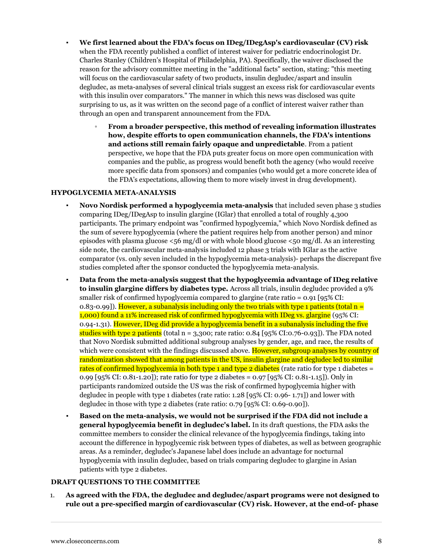- **We first learned about the FDA's focus on IDeg/IDegAsp's cardiovascular (CV) risk** when the FDA recently published a conflict of interest waiver for pediatric endocrinologist Dr. Charles Stanley (Children's Hospital of Philadelphia, PA). Specifically, the waiver disclosed the reason for the advisory committee meeting in the "additional facts" section, stating: "this meeting will focus on the cardiovascular safety of two products, insulin degludec/aspart and insulin degludec, as meta-analyses of several clinical trials suggest an excess risk for cardiovascular events with this insulin over comparators." The manner in which this news was disclosed was quite surprising to us, as it was written on the second page of a conflict of interest waiver rather than through an open and transparent announcement from the FDA.
	- **From a broader perspective, this method of revealing information illustrates how, despite efforts to open communication channels, the FDA's intentions and actions still remain fairly opaque and unpredictable**. From a patient perspective, we hope that the FDA puts greater focus on more open communication with companies and the public, as progress would benefit both the agency (who would receive more specific data from sponsors) and companies (who would get a more concrete idea of the FDA's expectations, allowing them to more wisely invest in drug development).

### **HYPOGLYCEMIA META-ANALYSIS**

- **Novo Nordisk performed a hypoglycemia meta-analysis** that included seven phase 3 studies comparing IDeg/IDegAsp to insulin glargine (IGlar) that enrolled a total of roughly 4,300 participants. The primary endpoint was "confirmed hypoglycemia," which Novo Nordisk defined as the sum of severe hypoglycemia (where the patient requires help from another person) and minor episodes with plasma glucose  $\lt 56$  mg/dl or with whole blood glucose  $\lt 50$  mg/dl. As an interesting side note, the cardiovascular meta-analysis included 12 phase 3 trials with IGlar as the active comparator (vs. only seven included in the hypoglycemia meta-analysis)- perhaps the discrepant five studies completed after the sponsor conducted the hypoglycemia meta-analysis.
- **Data from the meta-analysis suggest that the hypoglycemia advantage of IDeg relative to insulin glargine differs by diabetes type.** Across all trials, insulin degludec provided a 9% smaller risk of confirmed hypoglycemia compared to glargine (rate ratio = 0.91 [95% CI: 0.83-0.99]). However, a subanalysis including only the two trials with type 1 patients (total  $n =$ 1,000) found a 11% increased risk of confirmed hypoglycemia with IDeg vs. glargine (95% CI: 0.94-1.31). However, IDeg did provide a hypoglycemia benefit in a subanalysis including the five studies with type 2 patients (total  $n = 3,300$ ; rate ratio: 0.84 [95% CI:0.76-0.93]). The FDA noted that Novo Nordisk submitted additional subgroup analyses by gender, age, and race, the results of which were consistent with the findings discussed above. However, subgroup analyses by country of randomization showed that among patients in the US, insulin glargine and degludec led to similar rates of confirmed hypoglycemia in both type 1 and type 2 diabetes (rate ratio for type 1 diabetes  $=$ 0.99 [95% CI: 0.81-1.20]); rate ratio for type 2 diabetes = 0.97 [95% CI: 0.81-1.15]). Only in participants randomized outside the US was the risk of confirmed hypoglycemia higher with degludec in people with type 1 diabetes (rate ratio: 1.28 [95% CI: 0.96- 1.71]) and lower with degludec in those with type 2 diabetes (rate ratio: 0.79 [95% CI: 0.69-0.90]).
- **Based on the meta-analysis, we would not be surprised if the FDA did not include a general hypoglycemia benefit in degludec's label.** In its draft questions, the FDA asks the committee members to consider the clinical relevance of the hypoglycemia findings, taking into account the difference in hypoglycemic risk between types of diabetes, as well as between geographic areas. As a reminder, degludec's Japanese label does include an advantage for nocturnal hypoglycemia with insulin degludec, based on trials comparing degludec to glargine in Asian patients with type 2 diabetes.

## **DRAFT QUESTIONS TO THE COMMITTEE**

1. **As agreed with the FDA, the degludec and degludec/aspart programs were not designed to rule out a pre-specified margin of cardiovascular (CV) risk. However, at the end-of- phase**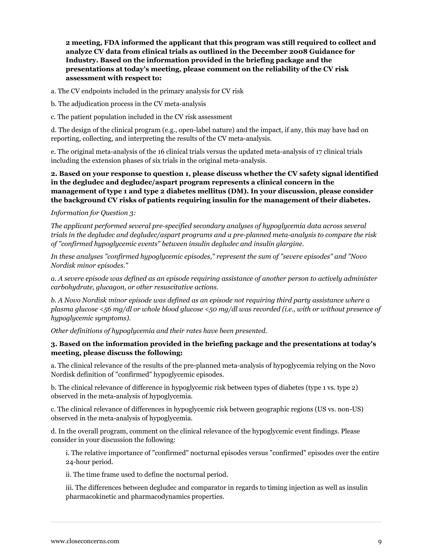**2 meeting, FDA informed the applicant that this program was still required to collect and analyze CV data from clinical trials as outlined in the December 2008 Guidance for Industry. Based on the information provided in the briefing package and the presentations at today's meeting, please comment on the reliability of the CV risk assessment with respect to:**

a. The CV endpoints included in the primary analysis for CV risk

- b. The adjudication process in the CV meta-analysis
- c. The patient population included in the CV risk assessment

d. The design of the clinical program (e.g., open-label nature) and the impact, if any, this may have had on reporting, collecting, and interpreting the results of the CV meta-analysis.

e. The original meta-analysis of the 16 clinical trials versus the updated meta-analysis of 17 clinical trials including the extension phases of six trials in the original meta-analysis.

**2. Based on your response to question 1, please discuss whether the CV safety signal identified in the degludec and degludec/aspart program represents a clinical concern in the management of type 1 and type 2 diabetes mellitus (DM). In your discussion, please consider the background CV risks of patients requiring insulin for the management of their diabetes.**

#### *Information for Question 3:*

*The applicant performed several pre-specified secondary analyses of hypoglycemia data across several trials in the degludec and degludec/aspart programs and a pre-planned meta-analysis to compare the risk of "confirmed hypoglycemic events" between insulin degludec and insulin glargine.*

*In these analyses "confirmed hypoglycemic episodes," represent the sum of "severe episodes" and "Novo Nordisk minor episodes."*

*a. A severe episode was defined as an episode requiring assistance of another person to actively administer carbohydrate, glucagon, or other resuscitative actions.*

*b. A Novo Nordisk minor episode was defined as an episode not requiring third party assistance where a plasma glucose <56 mg/dl or whole blood glucose <50 mg/dl was recorded (i.e., with or without presence of hypoglycemic symptoms).*

*Other definitions of hypoglycemia and their rates have been presented.*

### **3. Based on the information provided in the briefing package and the presentations at today's meeting, please discuss the following:**

a. The clinical relevance of the results of the pre-planned meta-analysis of hypoglycemia relying on the Novo Nordisk definition of "confirmed" hypoglycemic episodes.

b. The clinical relevance of difference in hypoglycemic risk between types of diabetes (type 1 vs. type 2) observed in the meta-analysis of hypoglycemia.

c. The clinical relevance of differences in hypoglycemic risk between geographic regions (US vs. non-US) observed in the meta-analysis of hypoglycemia.

d. In the overall program, comment on the clinical relevance of the hypoglycemic event findings. Please consider in your discussion the following:

i. The relative importance of "confirmed" nocturnal episodes versus "confirmed" episodes over the entire 24-hour period.

ii. The time frame used to define the nocturnal period.

iii. The differences between degludec and comparator in regards to timing injection as well as insulin pharmacokinetic and pharmacodynamics properties.